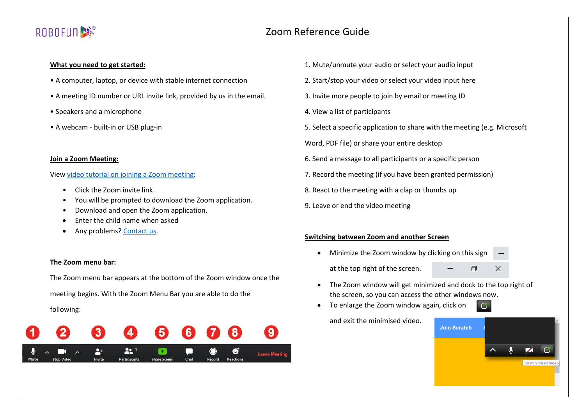# ROBOFUN<sup>9</sup><br>※

# Zoom Reference Guide

## **What you need to get started:**

- A computer, laptop, or device with stable internet connection
- A meeting ID number or URL invite link, provided by us in the email.
- Speakers and a microphone
- A webcam built-in or USB plug-in

#### **Join a Zoom Meeting:**

## Vie[w video tutorial on joining a Zoom meeting:](https://www.youtube.com/watch?v=hIkCmbvAHQQ)

- Click the Zoom invite link.
- You will be prompted to download the Zoom application.
- Download and open the Zoom application.
- Enter the child name when asked
- Any problems[? Contact us.](https://www.robofun.com.au/#contact)

## **The Zoom menu bar:**

The Zoom menu bar appears at the bottom of the Zoom window once the meeting begins. With the Zoom Menu Bar you are able to do the

## following:



- 1. Mute/unmute your audio or select your audio input
- 2. Start/stop your video or select your video input here
- 3. Invite more people to join by email or meeting ID
- 4. View a list of participants
- 5. Select a specific application to share with the meeting (e.g. Microsoft
- Word, PDF file) or share your entire desktop
- 6. Send a message to all participants or a specific person
- 7. Record the meeting (if you have been granted permission)
- 8. React to the meeting with a clap or thumbs up
- 9. Leave or end the video meeting

# **Switching between Zoom and another Screen**

- Minimize the Zoom window by clicking on this sign
	- at the top right of the screen.
- 门  $\times$

 $\alpha$ 

- The Zoom window will get minimized and dock to the top right of the screen, so you can access the other windows now.
- To enlarge the Zoom window again, click on

and exit the minimised video.